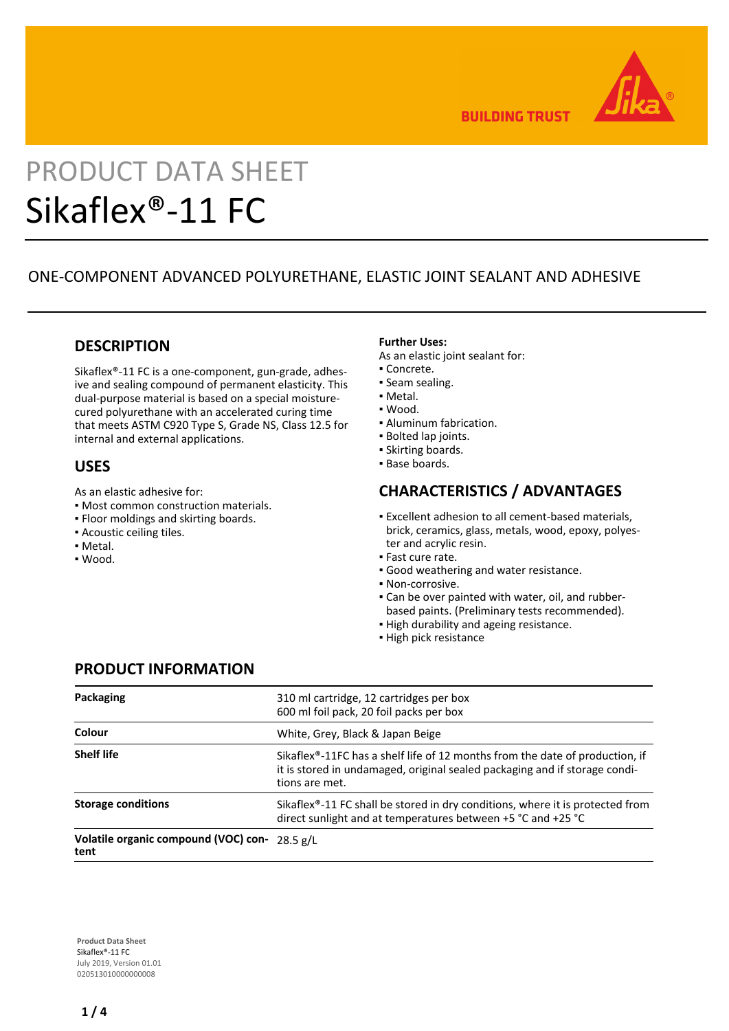

**BUILDING TRUST** 

# PRODUCT DATA SHEET Sikaflex®-11 FC

# ONE-COMPONENT ADVANCED POLYURETHANE, ELASTIC JOINT SEALANT AND ADHESIVE

## **DESCRIPTION**

Sikaflex®-11 FC is a one-component, gun-grade, adhesive and sealing compound of permanent elasticity. This dual-purpose material is based on a special moisturecured polyurethane with an accelerated curing time that meets ASTM C920 Type S, Grade NS, Class 12.5 for internal and external applications.

## **USES**

As an elastic adhesive for:

- Most common construction materials.
- Floor moldings and skirting boards.
- Acoustic ceiling tiles.
- Metal.
- Wood.

#### **Further Uses:**

As an elastic joint sealant for:

- Concrete.
- Seam sealing.
- Metal.
- Wood.
- Aluminum fabrication.
- Bolted lap joints.
- Skirting boards.
- Base boards.

## **CHARACTERISTICS / ADVANTAGES**

- Excellent adhesion to all cement-based materials, brick, ceramics, glass, metals, wood, epoxy, polyester and acrylic resin.
- Fast cure rate.
- Good weathering and water resistance.
- Non-corrosive.
- Can be over painted with water, oil, and rubber-▪ based paints. (Preliminary tests recommended).
- **.** High durability and ageing resistance.
- High pick resistance

## **PRODUCT INFORMATION**

| Packaging                                             | 310 ml cartridge, 12 cartridges per box<br>600 ml foil pack, 20 foil packs per box                                                                                                        |  |  |
|-------------------------------------------------------|-------------------------------------------------------------------------------------------------------------------------------------------------------------------------------------------|--|--|
| Colour                                                | White, Grey, Black & Japan Beige                                                                                                                                                          |  |  |
| <b>Shelf life</b>                                     | Sikaflex <sup>®</sup> -11FC has a shelf life of 12 months from the date of production, if<br>it is stored in undamaged, original sealed packaging and if storage condi-<br>tions are met. |  |  |
| <b>Storage conditions</b>                             | Sikaflex <sup>®</sup> -11 FC shall be stored in dry conditions, where it is protected from<br>direct sunlight and at temperatures between +5 °C and +25 °C                                |  |  |
| Volatile organic compound (VOC) con- 28.5 g/L<br>tent |                                                                                                                                                                                           |  |  |

**Product Data Sheet** Sikaflex®-11 FC July 2019, Version 01.01 020513010000000008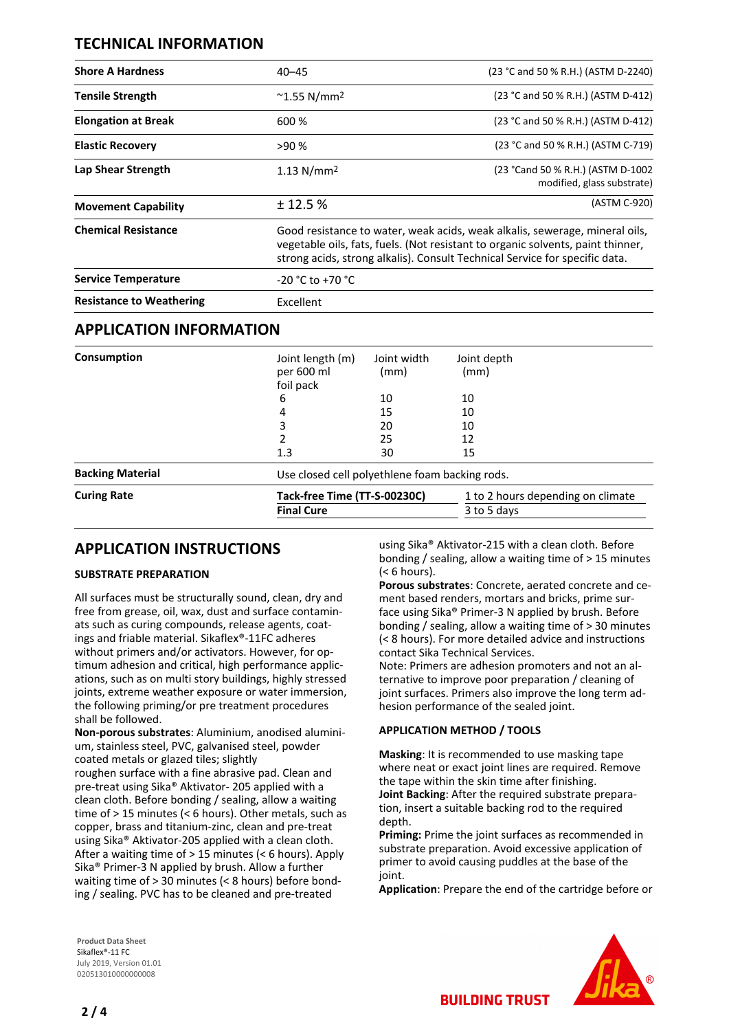## **TECHNICAL INFORMATION**

| <b>Shore A Hardness</b>         | $40 - 45$                        | (23 °C and 50 % R.H.) (ASTM D-2240)                                                                                                                                                                                                           |  |  |
|---------------------------------|----------------------------------|-----------------------------------------------------------------------------------------------------------------------------------------------------------------------------------------------------------------------------------------------|--|--|
| <b>Tensile Strength</b>         | $^{\sim}$ 1.55 N/mm <sup>2</sup> | (23 °C and 50 % R.H.) (ASTM D-412)                                                                                                                                                                                                            |  |  |
| <b>Elongation at Break</b>      | 600 %                            | (23 °C and 50 % R.H.) (ASTM D-412)                                                                                                                                                                                                            |  |  |
| <b>Elastic Recovery</b>         | >90%                             | (23 °C and 50 % R.H.) (ASTM C-719)                                                                                                                                                                                                            |  |  |
| Lap Shear Strength              | 1.13 N/mm <sup>2</sup>           | (23 °Cand 50 % R.H.) (ASTM D-1002<br>modified, glass substrate)                                                                                                                                                                               |  |  |
| <b>Movement Capability</b>      | ± 12.5%                          | (ASTM C-920)                                                                                                                                                                                                                                  |  |  |
| <b>Chemical Resistance</b>      |                                  | Good resistance to water, weak acids, weak alkalis, sewerage, mineral oils,<br>vegetable oils, fats, fuels. (Not resistant to organic solvents, paint thinner,<br>strong acids, strong alkalis). Consult Technical Service for specific data. |  |  |
| <b>Service Temperature</b>      | $-20 °C$ to $+70 °C$             |                                                                                                                                                                                                                                               |  |  |
| <b>Resistance to Weathering</b> | <b>Excellent</b>                 |                                                                                                                                                                                                                                               |  |  |

## **APPLICATION INFORMATION**

| Consumption             | Joint length (m)             | Joint width                                    | Joint depth                       |  |
|-------------------------|------------------------------|------------------------------------------------|-----------------------------------|--|
|                         |                              |                                                |                                   |  |
|                         | per 600 ml                   | (mm)                                           | (mm)                              |  |
|                         | foil pack                    |                                                |                                   |  |
|                         | 6                            | 10                                             | 10                                |  |
|                         | 4                            | 15                                             | 10                                |  |
|                         | 3                            | 20                                             | 10                                |  |
|                         |                              | 25                                             | 12                                |  |
|                         | 1.3                          | 30                                             | 15                                |  |
| <b>Backing Material</b> |                              | Use closed cell polyethlene foam backing rods. |                                   |  |
| <b>Curing Rate</b>      | Tack-free Time (TT-S-00230C) |                                                | 1 to 2 hours depending on climate |  |
|                         | <b>Final Cure</b>            |                                                | 3 to 5 days                       |  |
|                         |                              |                                                |                                   |  |

## **APPLICATION INSTRUCTIONS**

#### **SUBSTRATE PREPARATION**

All surfaces must be structurally sound, clean, dry and free from grease, oil, wax, dust and surface contaminats such as curing compounds, release agents, coatings and friable material. Sikaflex®-11FC adheres without primers and/or activators. However, for optimum adhesion and critical, high performance applications, such as on multi story buildings, highly stressed joints, extreme weather exposure or water immersion, the following priming/or pre treatment procedures shall be followed.

**Non-porous substrates**: Aluminium, anodised aluminium, stainless steel, PVC, galvanised steel, powder coated metals or glazed tiles; slightly roughen surface with a fine abrasive pad. Clean and pre-treat using Sika® Aktivator- 205 applied with a clean cloth. Before bonding / sealing, allow a waiting time of > 15 minutes (< 6 hours). Other metals, such as copper, brass and titanium-zinc, clean and pre-treat using Sika® Aktivator-205 applied with a clean cloth. After a waiting time of > 15 minutes (< 6 hours). Apply Sika® Primer-3 N applied by brush. Allow a further waiting time of > 30 minutes (< 8 hours) before bonding / sealing. PVC has to be cleaned and pre-treated

using Sika® Aktivator-215 with a clean cloth. Before bonding / sealing, allow a waiting time of > 15 minutes (< 6 hours).

**Porous substrates**: Concrete, aerated concrete and cement based renders, mortars and bricks, prime surface using Sika® Primer-3 N applied by brush. Before bonding / sealing, allow a waiting time of > 30 minutes (< 8 hours). For more detailed advice and instructions contact Sika Technical Services.

Note: Primers are adhesion promoters and not an alternative to improve poor preparation / cleaning of joint surfaces. Primers also improve the long term adhesion performance of the sealed joint.

#### **APPLICATION METHOD / TOOLS**

**Masking**: It is recommended to use masking tape where neat or exact joint lines are required. Remove the tape within the skin time after finishing. **Joint Backing**: After the required substrate preparation, insert a suitable backing rod to the required depth.

**Priming:** Prime the joint surfaces as recommended in substrate preparation. Avoid excessive application of primer to avoid causing puddles at the base of the ioint.

**Application**: Prepare the end of the cartridge before or

**Product Data Sheet** Sikaflex®-11 FC July 2019, Version 01.01 020513010000000008

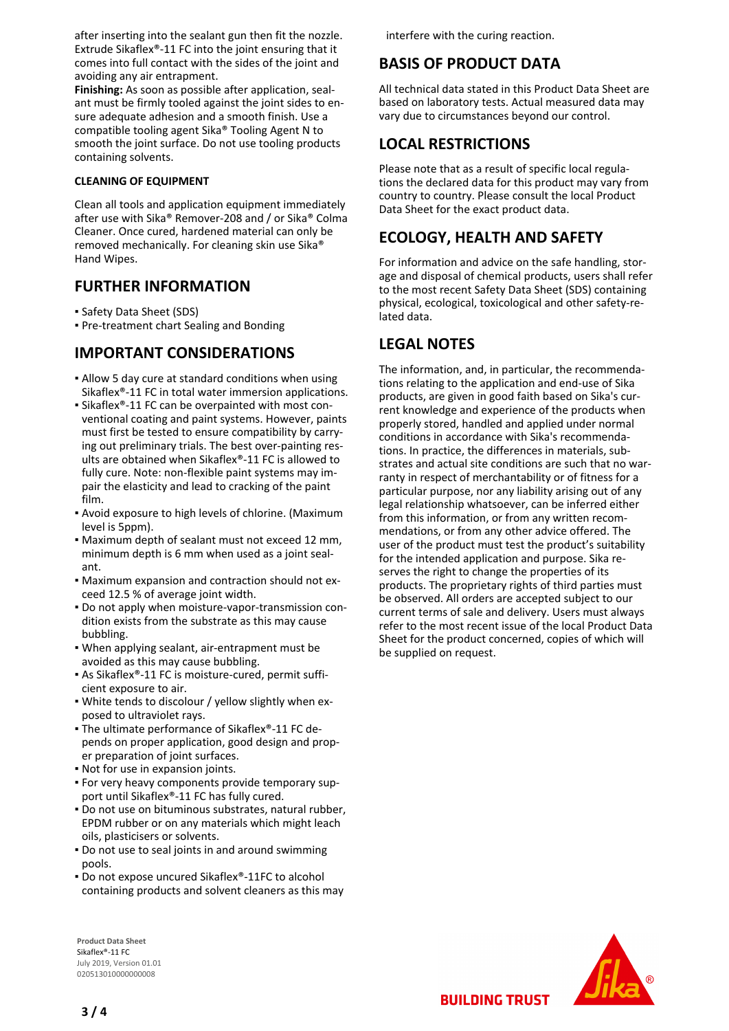after inserting into the sealant gun then fit the nozzle. Extrude Sikaflex®-11 FC into the joint ensuring that it comes into full contact with the sides of the joint and avoiding any air entrapment.

**Finishing:** As soon as possible after application, sealant must be firmly tooled against the joint sides to ensure adequate adhesion and a smooth finish. Use a compatible tooling agent Sika® Tooling Agent N to smooth the joint surface. Do not use tooling products containing solvents.

#### **CLEANING OF EQUIPMENT**

Clean all tools and application equipment immediately after use with Sika® Remover-208 and / or Sika® Colma Cleaner. Once cured, hardened material can only be removed mechanically. For cleaning skin use Sika® Hand Wipes.

## **FURTHER INFORMATION**

- Safety Data Sheet (SDS)
- Pre-treatment chart Sealing and Bonding

## **IMPORTANT CONSIDERATIONS**

- Allow 5 day cure at standard conditions when using Sikaflex®-11 FC in total water immersion applications.
- Sikaflex®-11 FC can be overpainted with most con-▪ ventional coating and paint systems. However, paints must first be tested to ensure compatibility by carrying out preliminary trials. The best over-painting results are obtained when Sikaflex®-11 FC is allowed to fully cure. Note: non-flexible paint systems may impair the elasticity and lead to cracking of the paint film.
- **-** Avoid exposure to high levels of chlorine. (Maximum level is 5ppm).
- Maximum depth of sealant must not exceed 12 mm, minimum depth is 6 mm when used as a joint sealant.
- Maximum expansion and contraction should not ex-▪ ceed 12.5 % of average joint width.
- Do not apply when moisture-vapor-transmission con-▪ dition exists from the substrate as this may cause bubbling.
- . When applying sealant, air-entrapment must be avoided as this may cause bubbling.
- As Sikaflex®-11 FC is moisture-cured, permit suffi-▪ cient exposure to air.
- . White tends to discolour / yellow slightly when exposed to ultraviolet rays.
- The ultimate performance of Sikaflex®-11 FC depends on proper application, good design and proper preparation of joint surfaces.
- Not for use in expansion joints.
- For very heavy components provide temporary sup-▪ port until Sikaflex®-11 FC has fully cured.
- Do not use on bituminous substrates, natural rubber, EPDM rubber or on any materials which might leach oils, plasticisers or solvents.
- Do not use to seal joints in and around swimming pools.
- Do not expose uncured Sikaflex®-11FC to alcohol containing products and solvent cleaners as this may

**Product Data Sheet** Sikaflex®-11 FC July 2019, Version 01.01 020513010000000008

interfere with the curing reaction.

# **BASIS OF PRODUCT DATA**

All technical data stated in this Product Data Sheet are based on laboratory tests. Actual measured data may vary due to circumstances beyond our control.

# **LOCAL RESTRICTIONS**

Please note that as a result of specific local regulations the declared data for this product may vary from country to country. Please consult the local Product Data Sheet for the exact product data.

# **ECOLOGY, HEALTH AND SAFETY**

For information and advice on the safe handling, storage and disposal of chemical products, users shall refer to the most recent Safety Data Sheet (SDS) containing physical, ecological, toxicological and other safety-related data.

## **LEGAL NOTES**

The information, and, in particular, the recommendations relating to the application and end-use of Sika products, are given in good faith based on Sika's current knowledge and experience of the products when properly stored, handled and applied under normal conditions in accordance with Sika's recommendations. In practice, the differences in materials, substrates and actual site conditions are such that no warranty in respect of merchantability or of fitness for a particular purpose, nor any liability arising out of any legal relationship whatsoever, can be inferred either from this information, or from any written recommendations, or from any other advice offered. The user of the product must test the product's suitability for the intended application and purpose. Sika reserves the right to change the properties of its products. The proprietary rights of third parties must be observed. All orders are accepted subject to our current terms of sale and delivery. Users must always refer to the most recent issue of the local Product Data Sheet for the product concerned, copies of which will be supplied on request.